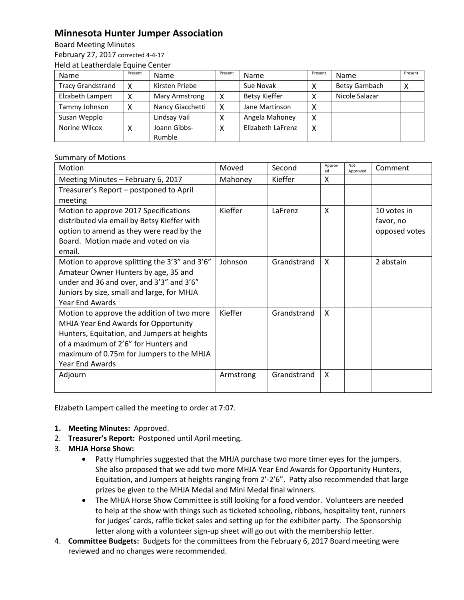## **Minnesota Hunter Jumper Association**

Board Meeting Minutes

February 27, 2017 corrected 4-4-17 Held at Leatherdale Equine Center

| Name                     | Present | <b>Name</b>      | Present | Name              | Present | Name           | Present |  |  |  |
|--------------------------|---------|------------------|---------|-------------------|---------|----------------|---------|--|--|--|
| <b>Tracy Grandstrand</b> | χ       | Kirsten Priebe   |         | Sue Novak         |         | Betsy Gambach  | ⌒       |  |  |  |
| Elzabeth Lampert         | х       | Mary Armstrong   | x       | Betsy Kieffer     | X       | Nicole Salazar |         |  |  |  |
| Tammy Johnson            |         | Nancy Giacchetti | x       | Jane Martinson    | х       |                |         |  |  |  |
| Susan Wepplo             |         | Lindsay Vail     |         | Angela Mahoney    | X       |                |         |  |  |  |
| Norine Wilcox            | л       | Joann Gibbs-     | х       | Elizabeth LaFrenz | X       |                |         |  |  |  |
|                          |         | Rumble           |         |                   |         |                |         |  |  |  |

## Summary of Motions

| Motion                                        | Moved     | Second      | Approv<br>ed | Not<br>Approved | Comment       |
|-----------------------------------------------|-----------|-------------|--------------|-----------------|---------------|
| Meeting Minutes - February 6, 2017            | Mahoney   | Kieffer     | X            |                 |               |
| Treasurer's Report - postponed to April       |           |             |              |                 |               |
| meeting                                       |           |             |              |                 |               |
| Motion to approve 2017 Specifications         | Kieffer   | LaFrenz     | X            |                 | 10 votes in   |
| distributed via email by Betsy Kieffer with   |           |             |              |                 | favor, no     |
| option to amend as they were read by the      |           |             |              |                 | opposed votes |
| Board. Motion made and voted on via           |           |             |              |                 |               |
| email.                                        |           |             |              |                 |               |
| Motion to approve splitting the 3'3" and 3'6" | Johnson   | Grandstrand | X            |                 | 2 abstain     |
| Amateur Owner Hunters by age, 35 and          |           |             |              |                 |               |
| under and 36 and over, and 3'3" and 3'6"      |           |             |              |                 |               |
| Juniors by size, small and large, for MHJA    |           |             |              |                 |               |
| <b>Year End Awards</b>                        |           |             |              |                 |               |
| Motion to approve the addition of two more    | Kieffer   | Grandstrand | X            |                 |               |
| MHJA Year End Awards for Opportunity          |           |             |              |                 |               |
| Hunters, Equitation, and Jumpers at heights   |           |             |              |                 |               |
| of a maximum of 2'6" for Hunters and          |           |             |              |                 |               |
| maximum of 0.75m for Jumpers to the MHJA      |           |             |              |                 |               |
| Year End Awards                               |           |             |              |                 |               |
| Adjourn                                       | Armstrong | Grandstrand | X            |                 |               |
|                                               |           |             |              |                 |               |

Elzabeth Lampert called the meeting to order at 7:07.

- **1. Meeting Minutes:** Approved.
- 2. **Treasurer's Report:** Postponed until April meeting.
- 3. **MHJA Horse Show:** 
	- Patty Humphries suggested that the MHJA purchase two more timer eyes for the jumpers. She also proposed that we add two more MHJA Year End Awards for Opportunity Hunters, Equitation, and Jumpers at heights ranging from 2'-2'6". Patty also recommended that large prizes be given to the MHJA Medal and Mini Medal final winners.
	- The MHJA Horse Show Committee is still looking for a food vendor. Volunteers are needed to help at the show with things such as ticketed schooling, ribbons, hospitality tent, runners for judges' cards, raffle ticket sales and setting up for the exhibiter party. The Sponsorship letter along with a volunteer sign-up sheet will go out with the membership letter.
- 4. **Committee Budgets:** Budgets for the committees from the February 6, 2017 Board meeting were reviewed and no changes were recommended.